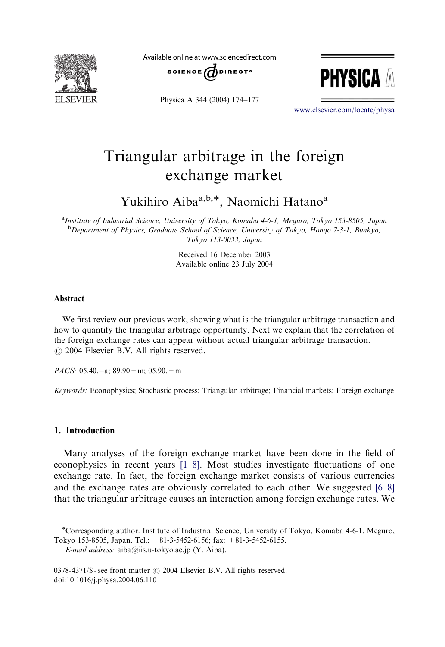

Available online at www.sciencedirect.com







<www.elsevier.com/locate/physa>

## Triangular arbitrage in the foreign exchange market

Yukihiro Aiba<sup>a,b,\*</sup>, Naomichi Hatano<sup>a</sup>

<sup>a</sup>Institute of Industrial Science, University of Tokyo, Komaba 4-6-1, Meguro, Tokyo 153-8505, Japan <sup>b</sup> Department of Physics, Graduate School of Science, University of Tokyo, Hongo 7-3-1, Bunkyo, Tokyo 113-0033, Japan

> Received 16 December 2003 Available online 23 July 2004

#### Abstract

We first review our previous work, showing what is the triangular arbitrage transaction and how to quantify the triangular arbitrage opportunity. Next we explain that the correlation of the foreign exchange rates can appear without actual triangular arbitrage transaction.  $\odot$  2004 Elsevier B.V. All rights reserved.

PACS:  $05.40 - a$ ;  $89.90 + m$ ;  $05.90 + m$ 

Keywords: Econophysics; Stochastic process; Triangular arbitrage; Financial markets; Foreign exchange

### 1. Introduction

Many analyses of the foreign exchange market have been done in the field of econophysics in recent years [\[1–8\]](#page--1-0). Most studies investigate fluctuations of one exchange rate. In fact, the foreign exchange market consists of various currencies and the exchange rates are obviously correlated to each other. We suggested [\[6–8\]](#page--1-0) that the triangular arbitrage causes an interaction among foreign exchange rates. We

Corresponding author. Institute of Industrial Science, University of Tokyo, Komaba 4-6-1, Meguro, Tokyo 153-8505, Japan. Tel.: +81-3-5452-6156; fax: +81-3-5452-6155.

E-mail address: aiba@iis.u-tokyo.ac.jp (Y. Aiba).

 $0378-4371/\$$  - see front matter  $\odot$  2004 Elsevier B.V. All rights reserved. doi:10.1016/j.physa.2004.06.110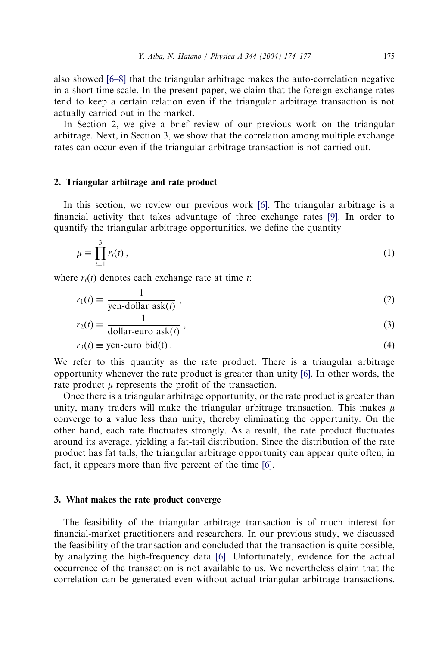also showed [\[6–8\]](#page--1-0) that the triangular arbitrage makes the auto-correlation negative in a short time scale. In the present paper, we claim that the foreign exchange rates tend to keep a certain relation even if the triangular arbitrage transaction is not actually carried out in the market.

In Section 2, we give a brief review of our previous work on the triangular arbitrage. Next, in Section 3, we show that the correlation among multiple exchange rates can occur even if the triangular arbitrage transaction is not carried out.

## 2. Triangular arbitrage and rate product

In this section, we review our previous work [\[6\].](#page--1-0) The triangular arbitrage is a financial activity that takes advantage of three exchange rates [\[9\]](#page--1-0). In order to quantify the triangular arbitrage opportunities, we define the quantity

$$
\mu \equiv \prod_{i=1}^{3} r_i(t) , \qquad (1)
$$

where  $r_i(t)$  denotes each exchange rate at time t:

$$
r_1(t) \equiv \frac{1}{\text{yen-dollar ask}(t)},\tag{2}
$$

$$
r_2(t) \equiv \frac{1}{\text{dollar-euro ask}(t)}\,,\tag{3}
$$

$$
r_3(t) \equiv \text{yen-euro bid}(t) \,. \tag{4}
$$

We refer to this quantity as the rate product. There is a triangular arbitrage opportunity whenever the rate product is greater than unity [\[6\].](#page--1-0) In other words, the rate product  $\mu$  represents the profit of the transaction.

Once there is a triangular arbitrage opportunity, or the rate product is greater than unity, many traders will make the triangular arbitrage transaction. This makes  $\mu$ converge to a value less than unity, thereby eliminating the opportunity. On the other hand, each rate fluctuates strongly. As a result, the rate product fluctuates around its average, yielding a fat-tail distribution. Since the distribution of the rate product has fat tails, the triangular arbitrage opportunity can appear quite often; in fact, it appears more than five percent of the time [\[6\]](#page--1-0).

#### 3. What makes the rate product converge

The feasibility of the triangular arbitrage transaction is of much interest for financial-market practitioners and researchers. In our previous study, we discussed the feasibility of the transaction and concluded that the transaction is quite possible, by analyzing the high-frequency data [\[6\].](#page--1-0) Unfortunately, evidence for the actual occurrence of the transaction is not available to us. We nevertheless claim that the correlation can be generated even without actual triangular arbitrage transactions.